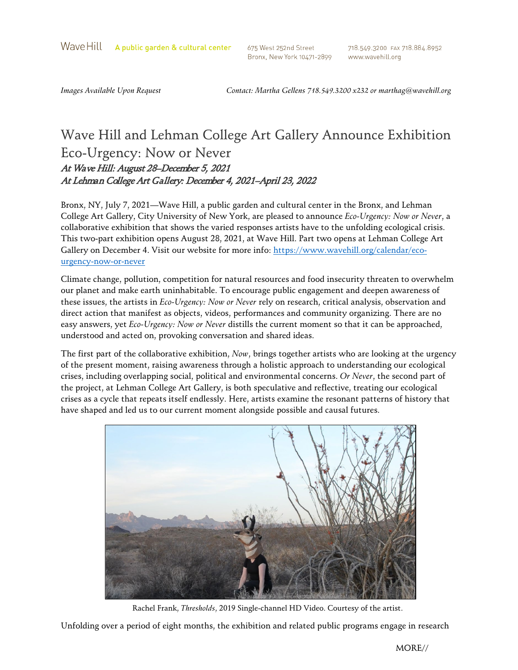Wave Hill A public garden & cultural center

675 West 252nd Street Bronx, New York 10471-2899 718.549.3200 FAX 718.884.8952 www.wavehill.org

*Images Available Upon Request Contact: Martha Gellens 718.549.3200 x232 o[r marthag@wavehill.org](mailto:marthag@wavehill.org)*

## Wave Hill and Lehman College Art Gallery Announce Exhibition Eco-Urgency: Now or Never At Wave Hill: August 28–December 5, 2021 At Lehman College Art Gallery: December 4, 2021–April 23, 2022

Bronx, NY, July 7, 2021—Wave Hill, a public garden and cultural center in the Bronx, and Lehman College Art Gallery, City University of New York, are pleased to announce *Eco-Urgency: Now or Never*, a collaborative exhibition that shows the varied responses artists have to the unfolding ecological crisis. This two-part exhibition opens August 28, 2021, at Wave Hill. Part two opens at Lehman College Art Gallery on December 4. Visit our website for more info: [https://www.wavehill.org/calendar/eco](https://www.wavehill.org/calendar/eco-urgency-now-or-never)[urgency-now-or-never](https://www.wavehill.org/calendar/eco-urgency-now-or-never) 

Climate change, pollution, competition for natural resources and food insecurity threaten to overwhelm our planet and make earth uninhabitable. To encourage public engagement and deepen awareness of these issues, the artists in *Eco-Urgency: Now or Never* rely on research, critical analysis, observation and direct action that manifest as objects, videos, performances and community organizing. There are no easy answers, yet *Eco-Urgency: Now or Never* distills the current moment so that it can be approached, understood and acted on, provoking conversation and shared ideas.

The first part of the collaborative exhibition, *Now*, brings together artists who are looking at the urgency of the present moment, raising awareness through a holistic approach to understanding our ecological crises, including overlapping social, political and environmental concerns. *Or Never*, the second part of the project, at Lehman College Art Gallery, is both speculative and reflective, treating our ecological crises as a cycle that repeats itself endlessly. Here, artists examine the resonant patterns of history that have shaped and led us to our current moment alongside possible and causal futures.



Rachel Frank, *Thresholds*, 2019 Single-channel HD Video. Courtesy of the artist.

Unfolding over a period of eight months, the exhibition and related public programs engage in research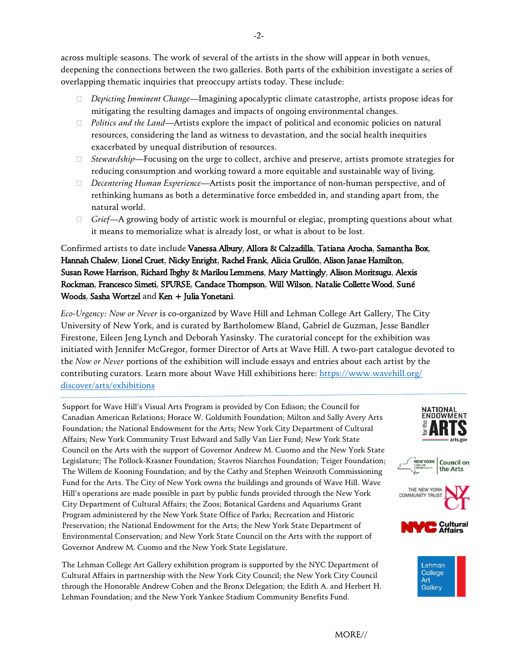across multiple seasons. The work of several of the artists in the show will appear in both venues, deepening the connections between the two galleries. Both parts of the exhibition investigate a series of overlapping thematic inquiries that preoccupy artists today. These include:

- *Depicting Imminent Change*—Imagining apocalyptic climate catastrophe, artists propose ideas for mitigating the resulting damages and impacts of ongoing environmental changes.
- *Politics and the Land*—Artists explore the impact of political and economic policies on natural resources, considering the land as witness to devastation, and the social health inequities exacerbated by unequal distribution of resources.
- *Stewardship*—Focusing on the urge to collect, archive and preserve, artists promote strategies for reducing consumption and working toward a more equitable and sustainable way of living.
- *Decentering Human Experience*—Artists posit the importance of non-human perspective, and of rethinking humans as both a determinative force embedded in, and standing apart from, the natural world.
- *Grief*—A growing body of artistic work is mournful or elegiac, prompting questions about what it means to memorialize what is already lost, or what is about to be lost.

Confirmed artists to date include Vanessa Albury, Allora & Calzadilla, Tatiana Arocha, Samantha Box, Hannah Chalew, Lionel Cruet, Nicky Enright, Rachel Frank, Alicia Grullón, Alison Janae Hamilton, Susan Rowe Harrison, Richard Ibghy & Marilou Lemmens, Mary Mattingly, Alison Moritsugu, Alexis Rockman, Francesco Simeti, SPURSE, Candace Thompson, Will Wilson, Natalie Collette Wood, Suné Woods, Sasha Wortzel and Ken + Julia Yonetani.

*Eco-Urgency: Now or Never* is co-organized by Wave Hill and Lehman College Art Gallery, The City University of New York, and is curated by Bartholomew Bland, Gabriel de Guzman, Jesse Bandler Firestone, Eileen Jeng Lynch and Deborah Yasinsky. The curatorial concept for the exhibition was initiated with Jennifer McGregor, former Director of Arts at Wave Hill. A two-part catalogue devoted to the *Now or Never* portions of the exhibition will include essays and entries about each artist by the contributing curators. [Learn more about Wave Hill exhibitions here:](https://www.wavehill.org/discover/arts/exhibitions) https://www.wavehill.org/ discover/arts/exhibitions

Support for Wave Hill's Visual Arts Program is provided by Con Edison; the Council for Canadian American Relations; Horace W. Goldsmith Foundation; Milton and Sally Avery Arts Foundation; the National Endowment for the Arts; New York City Department of Cultural Affairs; New York Community Trust Edward and Sally Van Lier Fund; New York State Council on the Arts with the support of Governor Andrew M. Cuomo and the New York State Legislature; The Pollock-Krasner Foundation; Stavros Niarchos Foundation; Teiger Foundation; The Willem de Kooning Foundation; and by the Cathy and Stephen Weinroth Commissioning Fund for the Arts. The City of New York owns the buildings and grounds of Wave Hill. Wave Hill's operations are made possible in part by public funds provided through the New York City Department of Cultural Affairs; the Zoos; Botanical Gardens and Aquariums Grant Program administered by the New York State Office of Parks; Recreation and Historic Preservation; the National Endowment for the Arts; the New York State Department of Environmental Conservation; and New York State Council on the Arts with the support of Governor Andrew M. Cuomo and the New York State Legislature.

The Lehman College Art Gallery exhibition program is supported by the NYC Department of Cultural Affairs in partnership with the New York City Council; the New York City Council through the Honorable Andrew Cohen and the Bronx Delegation; the Edith A. and Herbert H. Lehman Foundation; and the New York Yankee Stadium Community Benefits Fund.